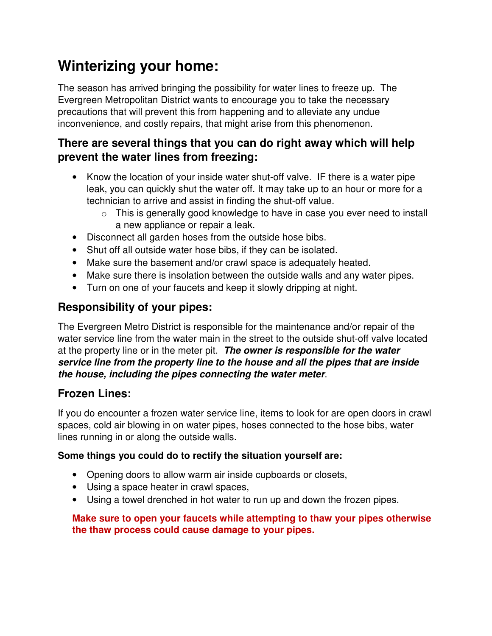# **Winterizing your home:**

The season has arrived bringing the possibility for water lines to freeze up. The Evergreen Metropolitan District wants to encourage you to take the necessary precautions that will prevent this from happening and to alleviate any undue inconvenience, and costly repairs, that might arise from this phenomenon.

## **There are several things that you can do right away which will help prevent the water lines from freezing:**

- Know the location of your inside water shut-off valve. IF there is a water pipe leak, you can quickly shut the water off. It may take up to an hour or more for a technician to arrive and assist in finding the shut-off value.
	- $\circ$  This is generally good knowledge to have in case you ever need to install a new appliance or repair a leak.
- Disconnect all garden hoses from the outside hose bibs.
- Shut off all outside water hose bibs, if they can be isolated.
- Make sure the basement and/or crawl space is adequately heated.
- Make sure there is insolation between the outside walls and any water pipes.
- Turn on one of your faucets and keep it slowly dripping at night.

# **Responsibility of your pipes:**

The Evergreen Metro District is responsible for the maintenance and/or repair of the water service line from the water main in the street to the outside shut-off valve located at the property line or in the meter pit. **The owner is responsible for the water service line from the property line to the house and all the pipes that are inside the house, including the pipes connecting the water meter**.

# **Frozen Lines:**

If you do encounter a frozen water service line, items to look for are open doors in crawl spaces, cold air blowing in on water pipes, hoses connected to the hose bibs, water lines running in or along the outside walls.

### **Some things you could do to rectify the situation yourself are:**

- Opening doors to allow warm air inside cupboards or closets,
- Using a space heater in crawl spaces,
- Using a towel drenched in hot water to run up and down the frozen pipes.

#### **Make sure to open your faucets while attempting to thaw your pipes otherwise the thaw process could cause damage to your pipes.**